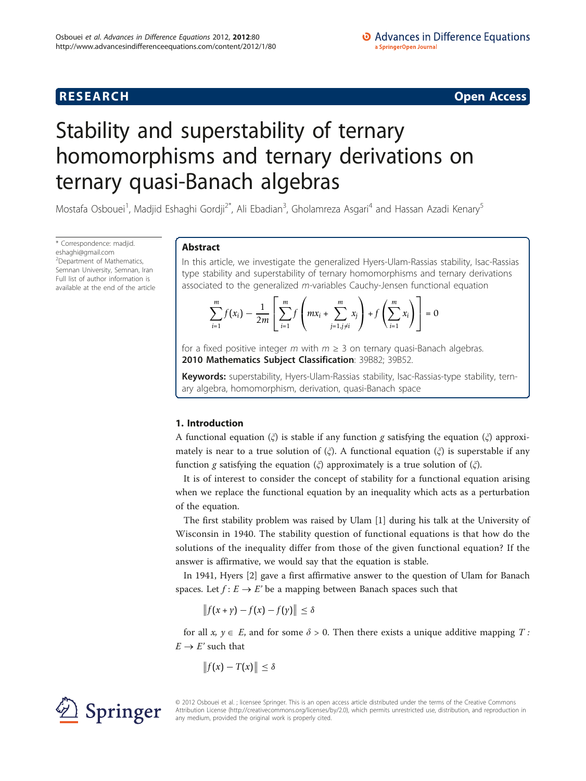# O Advances in Difference Equations a SpringerOpen Journal

# **RESEARCH CONSTRUCTION CONSTRUCTS**

# Stability and superstability of ternary homomorphisms and ternary derivations on ternary quasi-Banach algebras

Mostafa Osbouei<sup>1</sup>, Madjid Eshaghi Gordji<sup>2\*</sup>, Ali Ebadian<sup>3</sup>, Gholamreza Asgari<sup>4</sup> and Hassan Azadi Kenary<sup>5</sup>

\* Correspondence: [madjid.](mailto:madjid.eshaghi@gmail.com) [eshaghi@gmail.com](mailto:madjid.eshaghi@gmail.com) <sup>2</sup>Department of Mathematics, Semnan University, Semnan, Iran Full list of author information is available at the end of the article

# Abstract

In this article, we investigate the generalized Hyers-Ulam-Rassias stability, Isac-Rassias type stability and superstability of ternary homomorphisms and ternary derivations associated to the generalized m-variables Cauchy-Jensen functional equation

$$
\sum_{i=1}^{m} f(x_i) - \frac{1}{2m} \left[ \sum_{i=1}^{m} f\left( mx_i + \sum_{j=1, j \neq i}^{m} x_j \right) + f\left( \sum_{i=1}^{m} x_i \right) \right] = 0
$$

for a fixed positive integer m with  $m \geq 3$  on ternary quasi-Banach algebras. 2010 Mathematics Subject Classification: 39B82; 39B52.

Keywords: superstability, Hyers-Ulam-Rassias stability, Isac-Rassias-type stability, ternary algebra, homomorphism, derivation, quasi-Banach space

# 1. Introduction

A functional equation  $\zeta$  is stable if any function g satisfying the equation  $\zeta$  approximately is near to a true solution of  $(\xi)$ . A functional equation  $(\xi)$  is superstable if any function g satisfying the equation  $(\xi)$  approximately is a true solution of  $(\xi)$ .

It is of interest to consider the concept of stability for a functional equation arising when we replace the functional equation by an inequality which acts as a perturbation of the equation.

The first stability problem was raised by Ulam [\[1](#page-9-0)] during his talk at the University of Wisconsin in 1940. The stability question of functional equations is that how do the solutions of the inequality differ from those of the given functional equation? If the answer is affirmative, we would say that the equation is stable.

In 1941, Hyers [[2\]](#page-9-0) gave a first affirmative answer to the question of Ulam for Banach spaces. Let  $f: E \to E'$  be a mapping between Banach spaces such that

 $|| f(x + \gamma) - f(x) - f(\gamma)|| \le \delta$ 

for all  $x, y \in E$ , and for some  $\delta > 0$ . Then there exists a unique additive mapping T:  $E \rightarrow E'$  such that

$$
\|f(x)-T(x)\|\leq \delta
$$



© 2012 Osbouei et al. ; licensee Springer. This is an open access article distributed under the terms of the Creative Commons Attribution License [\(http://creativecommons.org/licenses/by/2.0](http://creativecommons.org/licenses/by/2.0)), which permits unrestricted use, distribution, and reproduction in any medium, provided the original work is properly cited.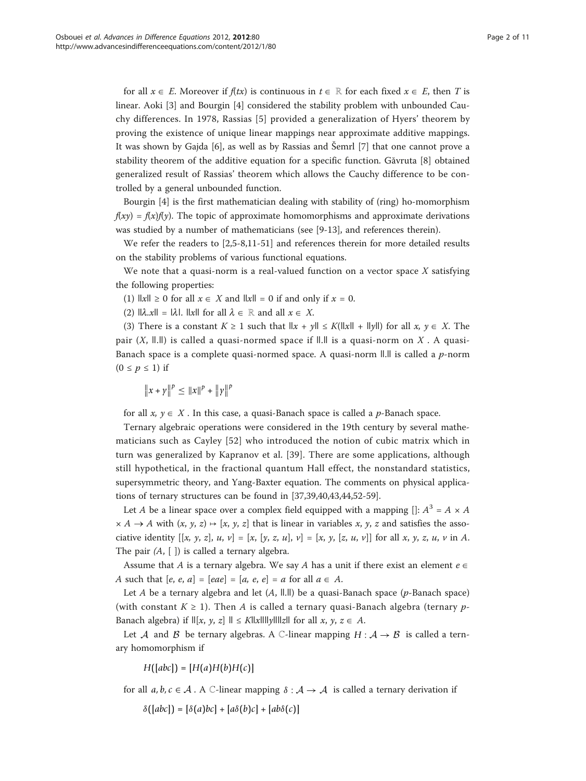for all  $x \in E$ . Moreover if  $f(tx)$  is continuous in  $t \in \mathbb{R}$  for each fixed  $x \in E$ , then T is linear. Aoki [[3\]](#page-9-0) and Bourgin [\[4](#page-9-0)] considered the stability problem with unbounded Cauchy differences. In 1978, Rassias [[5](#page-9-0)] provided a generalization of Hyers' theorem by proving the existence of unique linear mappings near approximate additive mappings. It was shown by Gajda [\[6](#page-9-0)], as well as by Rassias and Šemrl [\[7](#page-9-0)] that one cannot prove a stability theorem of the additive equation for a specific function. Găvruta [\[8](#page-9-0)] obtained generalized result of Rassias' theorem which allows the Cauchy difference to be controlled by a general unbounded function.

Bourgin [\[4](#page-9-0)] is the first mathematician dealing with stability of (ring) ho-momorphism  $f(xy) = f(x)f(y)$ . The topic of approximate homomorphisms and approximate derivations was studied by a number of mathematicians (see [[9](#page-9-0)-[13\]](#page-9-0), and references therein).

We refer the readers to [\[2,5-8,11](#page-9-0)-[51\]](#page-10-0) and references therein for more detailed results on the stability problems of various functional equations.

We note that a quasi-norm is a real-valued function on a vector space  $X$  satisfying the following properties:

(1)  $\|x\| \ge 0$  for all  $x \in X$  and  $\|x\| = 0$  if and only if  $x = 0$ .

(2)  $\|\lambda \times \mathbf{R}\| = \|\lambda\|$ .  $\|\lambda\|$  for all  $\lambda \in \mathbb{R}$  and all  $x \in X$ .

(3) There is a constant  $K \ge 1$  such that  $||x + y|| \le K(||x|| + ||y||)$  for all  $x, y \in X$ . The pair  $(X, \parallel \parallel)$  is called a quasi-normed space if  $\parallel \parallel \parallel$  is a quasi-norm on X. A quasi-Banach space is a complete quasi-normed space. A quasi-norm  $\|.\|$  is called a p-norm  $(0 \le p \le 1)$  if

 $||x + y||^p \le ||x||^p + ||y||^p$ 

for all  $x, y \in X$ . In this case, a quasi-Banach space is called a p-Banach space.

Ternary algebraic operations were considered in the 19th century by several mathematicians such as Cayley [[52\]](#page-10-0) who introduced the notion of cubic matrix which in turn was generalized by Kapranov et al. [\[39\]](#page-10-0). There are some applications, although still hypothetical, in the fractional quantum Hall effect, the nonstandard statistics, supersymmetric theory, and Yang-Baxter equation. The comments on physical applications of ternary structures can be found in [\[37](#page-9-0)[,39,40,43,44,52-59](#page-10-0)].

Let A be a linear space over a complex field equipped with a mapping []:  $A^3 = A \times A$  $\times$  A  $\rightarrow$  A with  $(x, y, z)$   $\mapsto$  [x, y, z] that is linear in variables x, y, z and satisfies the associative identity  $[[x, y, z], u, v] = [x, [y, z, u], v] = [x, y, [z, u, v]]$  for all x, y, z, u, v in A. The pair  $(A, [ ])$  is called a ternary algebra.

Assume that A is a ternary algebra. We say A has a unit if there exist an element  $e \in$ A such that  $[e, e, a] = [eae] = [a, e, e] = a$  for all  $a \in A$ .

Let A be a ternary algebra and let  $(A, \Vert \cdot \Vert)$  be a quasi-Banach space (p-Banach space) (with constant  $K \geq 1$ ). Then A is called a ternary quasi-Banach algebra (ternary p-Banach algebra) if  $\mathbb{I}[x, y, z] \mathbb{I} \leq K \mathbb{I}[x]$  all  $x \in X$ ,  $y \in X$ .

Let *A* and *B* be ternary algebras. A C-linear mapping  $H : A \rightarrow B$  is called a ternary homomorphism if

 $H([abc]) = [H(a)H(b)H(c)]$ 

for all  $a, b, c \in A$ . A C-linear mapping  $\delta : A \to A$  is called a ternary derivation if

 $\delta([abc]) = [\delta(a)bc] + [a\delta(b)c] + [ab\delta(c)]$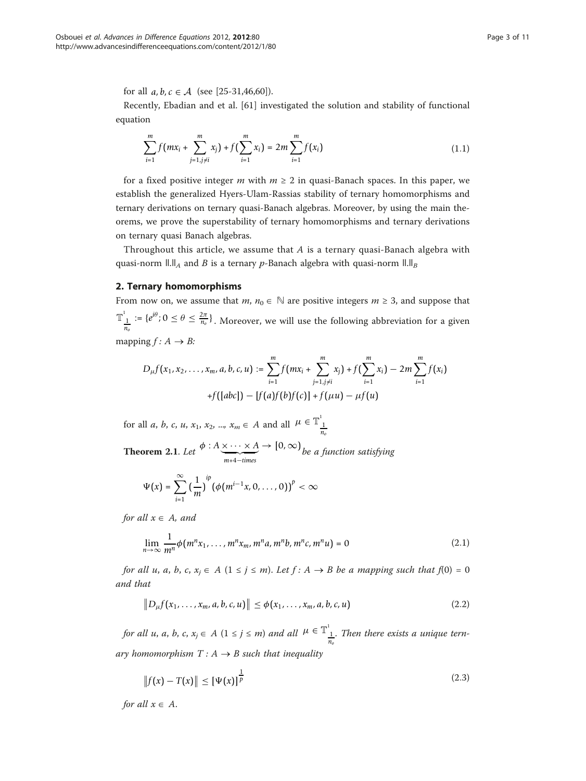for all  $a, b, c \in A$  (see [\[25](#page-9-0)-[31,](#page-9-0)[46](#page-10-0),[60](#page-10-0)]).

Recently, Ebadian and et al. [\[61](#page-10-0)] investigated the solution and stability of functional equation

$$
\sum_{i=1}^{m} f(mx_i + \sum_{j=1, j \neq i}^{m} x_j) + f(\sum_{i=1}^{m} x_i) = 2m \sum_{i=1}^{m} f(x_i)
$$
 (1.1)

for a fixed positive integer m with  $m \geq 2$  in quasi-Banach spaces. In this paper, we establish the generalized Hyers-Ulam-Rassias stability of ternary homomorphisms and ternary derivations on ternary quasi-Banach algebras. Moreover, by using the main theorems, we prove the superstability of ternary homomorphisms and ternary derivations on ternary quasi Banach algebras.

Throughout this article, we assume that  $A$  is a ternary quasi-Banach algebra with quasi-norm  $\Vert \cdot \Vert_A$  and B is a ternary p-Banach algebra with quasi-norm  $\Vert \cdot \Vert_B$ 

# 2. Ternary homomorphisms

From now on, we assume that *m*,  $n_0 \in \mathbb{N}$  are positive integers  $m \geq 3$ , and suppose that  $\mathbb{T}^1_{\frac{1}{n_o}} := \{e^{i\theta}; 0 \le \theta \le \frac{2\pi}{n_o}\}\.$  Moreover, we will use the following abbreviation for a given mapping  $f: A \rightarrow B$ :

$$
D_{\mu}f(x_1, x_2, \ldots, x_m, a, b, c, u) := \sum_{i=1}^{m} f(mx_i + \sum_{i=1}^{m} x_i) + f
$$

$$
D_{\mu}f(x_1, x_2, ..., x_m, a, b, c, u) := \sum_{i=1} f(mx_i + \sum_{j=1, j\neq i} x_j) + f(\sum_{i=1} x_i) - 2m \sum_{i=1} f(x_i) + f([abc]) - [f(a)f(b)f(c)] + f(\mu u) - \mu f(u)
$$

*m*

*m*

for all *a*, *b*, *c*, *u*,  $x_1$ ,  $x_2$ , ...,  $x_m \in A$  and all  $\mu \in \mathbb{T}_{\frac{1}{n_o}}^{\frac{1}{n_o}}$ 

**Theorem 2.1.** Let  $\phi: A \times \cdots \times A \rightarrow [0, \infty)$  be a function satisfying

$$
\Psi(x)=\sum_{i=1}^{\infty}\big(\frac{1}{m}\big)^{ip}\big(\phi(m^{i-1}x,0,\ldots,0)\big)^p<\infty
$$

for all  $x \in A$ , and

$$
\lim_{n \to \infty} \frac{1}{m^n} \phi(m^n x_1, \dots, m^n x_m, m^n a, m^n b, m^n c, m^n u) = 0
$$
\n(2.1)

for all u, a, b, c,  $x_i \in A$   $(1 \le j \le m)$ . Let  $f: A \rightarrow B$  be a mapping such that  $f(0) = 0$ and that

$$
||D_{\mu}f(x_1,...,x_m,a,b,c,u)|| \leq \phi(x_1,...,x_m,a,b,c,u)
$$
\n(2.2)

for all u, a, b, c,  $x_j \in A$   $(1 \le j \le m)$  and all  $\mu \in \mathbb{T}_{\frac{1}{n_o}}^1$ . Then there exists a unique ternary homomorphism  $T : A \rightarrow B$  such that inequality

$$
||f(x) - T(x)|| \leq [\Psi(x)]^{\frac{1}{p}}
$$
\n(2.3)

for all  $x \in A$ .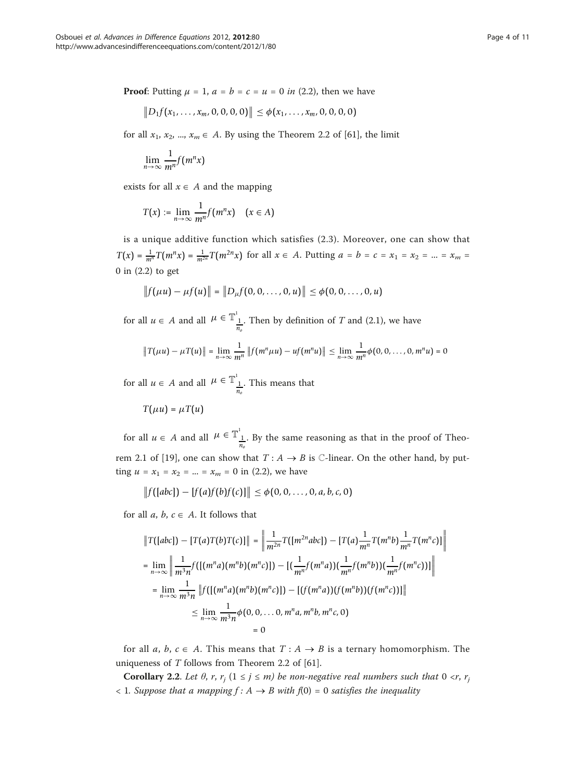**Proof:** Putting  $\mu = 1$ ,  $a = b = c = u = 0$  in (2.2), then we have

$$
||D_1f(x_1,\ldots,x_m,0,0,0,0)|| \leq \phi(x_1,\ldots,x_m,0,0,0,0)
$$

for all  $x_1, x_2, ..., x_m \in A$ . By using the Theorem 2.2 of [[61\]](#page-10-0), the limit

$$
\lim_{n\to\infty}\frac{1}{m^n}f(m^nx)
$$

exists for all  $x \in A$  and the mapping

$$
T(x) := \lim_{n \to \infty} \frac{1}{m^n} f(m^n x) \quad (x \in A)
$$

is a unique additive function which satisfies (2.3). Moreover, one can show that  $T(x) = \frac{1}{m^n} T(m^n x) = \frac{1}{m^{2n}} T(m^{2n} x)$  for all  $x \in A$ . Putting  $a = b = c = x_1 = x_2 = ... = x_m =$ 0 in (2.2) to get

$$
||f(\mu u) - \mu f(u)|| = ||D_{\mu}f(0, 0, \ldots, 0, u)|| \leq \phi(0, 0, \ldots, 0, u)
$$

for all  $u \in A$  and all  $\mu \in \mathbb{T}^1_{\frac{1}{n_o}}$ . Then by definition of T and (2.1), we have

$$
||T(\mu u) - \mu T(u)|| = \lim_{n \to \infty} \frac{1}{m^n} ||f(m^n \mu u) - uf(m^n u)|| \leq \lim_{n \to \infty} \frac{1}{m^n} \phi(0, 0, \dots, 0, m^n u) = 0
$$

for all  $u \in A$  and all  $\mu \in \mathbb{T}_{\frac{1}{n_o}}^{\perp}$ . This means that

$$
T(\mu u) = \mu T(u)
$$

for all  $u \in A$  and all  $\mu \in \mathbb{T}_{\frac{1}{n_o}}^1$ . By the same reasoning as that in the proof of Theo-rem 2.1 of [[19](#page-9-0)], one can show that  $T : A \rightarrow B$  is  $\mathbb{C}\text{-linear}$ . On the other hand, by putting  $u = x_1 = x_2 = ... = x_m = 0$  in (2.2), we have

$$
||f([abc]) - [f(a)f(b)f(c)]|| \leq \phi(0, 0, ..., 0, a, b, c, 0)
$$

for all  $a, b, c \in A$ . It follows that

$$
\|T([abc]) - [T(a)T(b)T(c)]\| = \left\| \frac{1}{m^{2n}} T([m^{2n}abc]) - [T(a)\frac{1}{m^n}T(m^n b)\frac{1}{m^n}T(m^n c)] \right\|
$$
  
\n
$$
= \lim_{n \to \infty} \left\| \frac{1}{m^3 n} f([(m^n a)(m^n b)(m^n c)]) - [(\frac{1}{m^n}f(m^n a))(\frac{1}{m^n}f(m^n b))(\frac{1}{m^n}f(m^n c))]\right\|
$$
  
\n
$$
= \lim_{n \to \infty} \frac{1}{m^3 n} \|f([(m^n a)(m^n b)(m^n c)]) - [(f(m^n a))(f(m^n b))(f(m^n c))]\|
$$
  
\n
$$
\leq \lim_{n \to \infty} \frac{1}{m^3 n} \phi(0, 0, \dots 0, m^n a, m^n b, m^n c, 0)
$$
  
\n
$$
= 0
$$

for all a, b,  $c \in A$ . This means that  $T : A \rightarrow B$  is a ternary homomorphism. The uniqueness of  $T$  follows from Theorem 2.2 of [[61\]](#page-10-0).

**Corollary 2.2.** Let  $\theta$ ,  $r$ ,  $r_j$  ( $1 \leq j \leq m$ ) be non-negative real numbers such that  $0 \leq r$ ,  $r_j$  $\langle$  1. Suppose that a mapping  $f: A \rightarrow B$  with  $f(0) = 0$  satisfies the inequality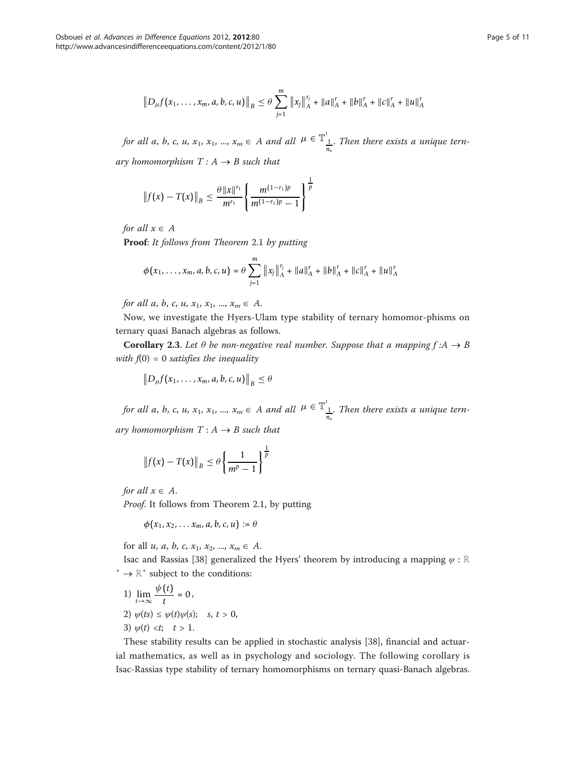$$
||D_{\mu}f(x_1,\ldots,x_m,a,b,c,u)||_B\leq \theta\sum_{j=1}^m||x_j||_A^{r_j}+||a||_A^r+||b||_A^r+||c||_A^r+||u||_A^r
$$

for all a, b, c, u,  $x_1, x_1, ..., x_m \in A$  and all  $\mu \in \mathbb{T}_{\frac{1}{n_o}}^1$ . Then there exists a unique ternary homomorphism  $T: A \rightarrow B$  such that

$$
||f(x) - T(x)||_B \leq \frac{\theta ||x||^{r_1}}{m^{r_1}} \left\{ \frac{m^{(1-r_1)p}}{m^{(1-r_1)p} - 1} \right\}^{\frac{1}{p}}
$$

for all  $x \in A$ 

Proof: It follows from Theorem 2.1 by putting

$$
\phi(x_1,\ldots,x_m,a,b,c,u)=\theta\sum_{j=1}^m\|x_j\|_A^{r_j}+\|a\|_A^r+\|b\|_A^r+\|c\|_A^r+\|u\|_A^r
$$

for all a, b, c, u,  $x_1, x_1, ..., x_m \in A$ .

Now, we investigate the Hyers-Ulam type stability of ternary homomor-phisms on ternary quasi Banach algebras as follows.

**Corollary 2.3.** Let  $\theta$  be non-negative real number. Suppose that a mapping  $f : A \rightarrow B$ with  $f(0) = 0$  satisfies the inequality

$$
\big\|D_{\mu}f(x_1,\ldots,x_m,a,b,c,u)\big\|_{B}\leq\theta
$$

for all a, b, c, u,  $x_1, x_1, ..., x_m \in A$  and all  $\mu \in \mathbb{T}^1_{\frac{1}{n_o}}$ . Then there exists a unique ternary homomorphism  $T : A \rightarrow B$  such that

$$
\|f(x)-T(x)\|_{B}\leq \theta\left\{\frac{1}{m^{p}-1}\right\}^{\frac{1}{p}}
$$

for all  $x \in A$ .

Proof. It follows from Theorem 2.1, by putting

$$
\phi(x_1,x_2,\ldots x_m,a,b,c,u):=\theta
$$

for all u, a, b, c,  $x_1, x_2, ..., x_m \in A$ .

Isac and Rassias [\[38\]](#page-9-0) generalized the Hyers' theorem by introducing a mapping  $\psi : \mathbb{R}$  $^+$   $\rightarrow \mathbb{R}^+$  subject to the conditions:

1) 
$$
\lim_{t \to \infty} \frac{\psi(t)}{t} = 0,
$$
  
2)  $\psi(ts) \leq \psi(t)\psi(s); \quad s, t > 0,$   
3)  $\psi(t) < t; \quad t > 1.$ 

These stability results can be applied in stochastic analysis [[38\]](#page-9-0), financial and actuarial mathematics, as well as in psychology and sociology. The following corollary is Isac-Rassias type stability of ternary homomorphisms on ternary quasi-Banach algebras.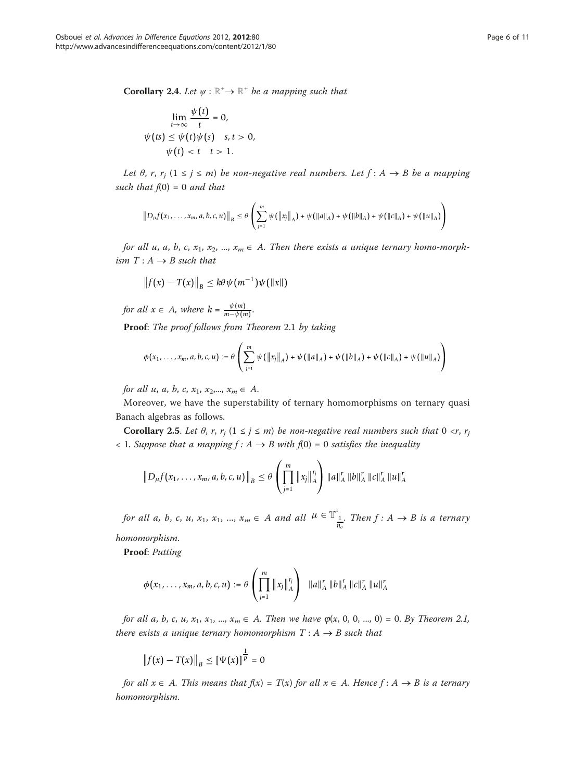**Corollary 2.4.** Let  $\psi : \mathbb{R}^+ \to \mathbb{R}^+$  be a mapping such that

$$
\lim_{t \to \infty} \frac{\psi(t)}{t} = 0,
$$
  

$$
\psi(ts) \le \psi(t)\psi(s) \quad s, t > 0,
$$
  

$$
\psi(t) < t \quad t > 1.
$$

Let  $\theta$ , r, r<sub>i</sub>  $(1 \le j \le m)$  be non-negative real numbers. Let  $f : A \rightarrow B$  be a mapping such that  $f(0) = 0$  and that

$$
\|D_{\mu}f(x_1,\ldots,x_m,a,b,c,u)\|_{B}\leq \theta\left(\sum_{j=1}^m\psi(\|x_j\|_A)+\psi(\|a\|_A)+\psi(\|b\|_A)+\psi(\|c\|_A)+\psi(\|u\|_A)\right)
$$

for all u, a, b, c,  $x_1, x_2, ..., x_m \in A$ . Then there exists a unique ternary homo-morphism  $T : A \rightarrow B$  such that

$$
\left\|f(x)-T(x)\right\|_{B}\leq k\theta\psi(m^{-1})\psi(\left\|x\right\|)
$$

for all  $x \in A$ , where  $k = \frac{\psi(m)}{m - \psi(m)}$ . Proof: The proof follows from Theorem 2.1 by taking

$$
\phi(x_1,\ldots,x_m,a,b,c,u) := \theta\left(\sum_{j=i}^m \psi(\|x_j\|_A) + \psi(\|a\|_A) + \psi(\|b\|_A) + \psi(\|c\|_A) + \psi(\|u\|_A)\right)
$$

for all u, a, b, c,  $x_1, x_2,..., x_m \in A$ .

Moreover, we have the superstability of ternary homomorphisms on ternary quasi Banach algebras as follows.

Corollary 2.5. Let  $\theta$ , r,  $r_j$  ( $1 \le j \le m$ ) be non-negative real numbers such that  $0 \le r$ ,  $r_j$  $\langle$  1. Suppose that a mapping  $f: A \rightarrow B$  with  $f(0) = 0$  satisfies the inequality

$$
||D_{\mu}f(x_1,\ldots,x_m,a,b,c,u)||_B\leq \theta\left(\prod_{j=1}^m||x_j||_A^{r_j}\right)||a||_A^r||b||_A^r||c||_A^r||u||_A^r
$$

for all a, b, c, u,  $x_1, x_1, ..., x_m \in A$  and all  $\mu \in \mathbb{T}^1_{\frac{1}{n_o}}$ . Then  $f : A \to B$  is a ternary

homomorphism.

Proof: Putting

$$
\phi(x_1,\ldots,x_m,a,b,c,u) := \theta\left(\prod_{j=1}^m \|x_j\|_A^{r_j}\right) \quad \|a\|_A^r \quad \|b\|_A^r \quad \|c\|_A^r \quad \|u\|_A^r
$$

for all a, b, c, u,  $x_1, x_1, ..., x_m \in A$ . Then we have  $\varphi(x, 0, 0, ..., 0) = 0$ . By Theorem 2.1, there exists a unique ternary homomorphism  $T : A \rightarrow B$  such that

$$
||f(x) - T(x)||_B \leq [\Psi(x)]^{\frac{1}{p}} = 0
$$

for all  $x \in A$ . This means that  $f(x) = T(x)$  for all  $x \in A$ . Hence  $f : A \rightarrow B$  is a ternary homomorphism.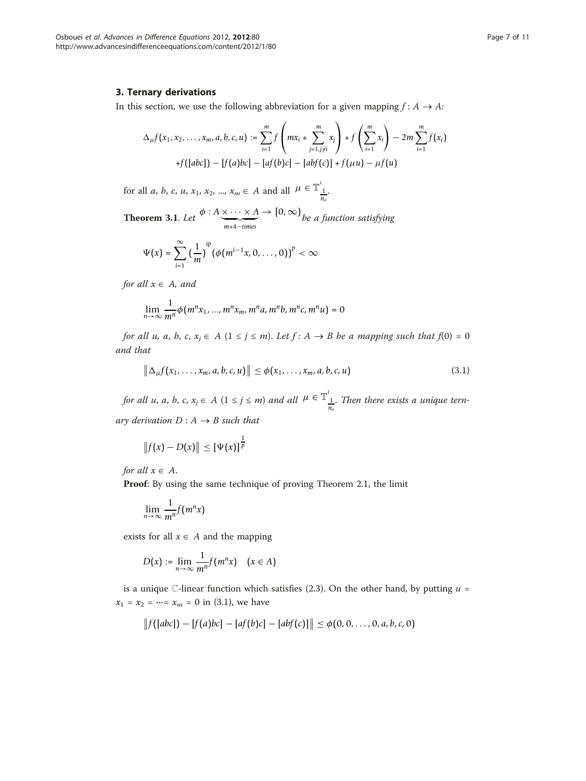## 3. Ternary derivations

In this section, we use the following abbreviation for a given mapping  $f: A \rightarrow A$ :

$$
\Delta_{\mu}f(x_1, x_2, \ldots, x_m, a, b, c, u) := \sum_{i=1}^m f\left(mx_i + \sum_{j=1, j \neq i}^m x_j\right) + f\left(\sum_{i=1}^m x_i\right) - 2m \sum_{i=1}^m f(x_i)
$$
  
+f([abc]) - [f(a)bc] - [af(b)c] - [abf(c)] + f(\mu u) - \mu f(u)

for all *a*, *b*, *c*, *u*, *x*<sub>1</sub>, *x*<sub>2</sub>, ..., *x*<sub>*m*</sub>  $\in$  *A* and all  $\mu \in \mathbb{T}^1_{\frac{1}{n_o}}$ .

**Theorem 3.1.** Let  $\phi: A \times \cdots \times A \rightarrow [0, \infty)$  be a function satisfying

$$
\Psi(x)=\sum_{i=1}^{\infty}\big(\frac{1}{m}\big)^{ip}\big(\phi\big(m^{i-1}x,0,\ldots,0\big)\big)^{p}<\infty
$$

for all  $x \in A$ , and

$$
\lim_{n \to \infty} \frac{1}{m^n} \phi(m^n x_1, ..., m^n x_m, m^n a, m^n b, m^n c, m^n u) = 0
$$

for all u, a, b, c,  $x_j \in A$   $(1 \le j \le m)$ . Let  $f : A \rightarrow B$  be a mapping such that  $f(0) = 0$ and that

$$
\left\|\Delta_{\mu}f(x_1,\ldots,x_m,a,b,c,u)\right\| \leq \phi(x_1,\ldots,x_m,a,b,c,u) \tag{3.1}
$$

for all u, a, b, c,  $x_j \in A$   $(1 \le j \le m)$  and all  $\mu \in \mathbb{T}_{\frac{1}{n_o}}^1$ . Then there exists a unique ternary derivation  $D: A \rightarrow B$  such that

$$
||f(x) - D(x)|| \leq [\Psi(x)]^{\frac{1}{p}}
$$

for all  $x \in A$ .

Proof: By using the same technique of proving Theorem 2.1, the limit

$$
\lim_{n\to\infty}\frac{1}{m^n}f(m^nx)
$$

exists for all  $x \in A$  and the mapping

$$
D(x) := \lim_{n \to \infty} \frac{1}{m^n} f(m^n x) \quad (x \in A)
$$

is a unique  $\mathbb{C}\text{-linear function which satisfies (2.3). On the other hand, by putting }u =$  $x_1 = x_2 = \dots = x_m = 0$  in (3.1), we have

$$
||f([abc]) - [f(a)bc] - [af(b)c] - [abf(c)]|| \leq \phi(0, 0, ..., 0, a, b, c, 0)
$$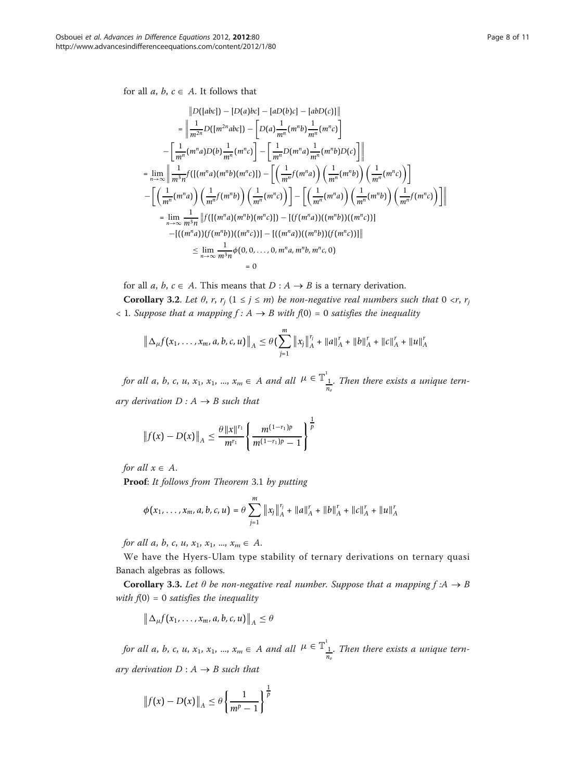for all  $a, b, c \in A$ . It follows that

$$
|D([abc]) - [D(a)bc] - [abD(c)] - [abD(c)]|
$$
  
\n
$$
= \left\| \frac{1}{m^2} D([m^{2n}abc]) - [D(a)\frac{1}{m^n}(m^n b)\frac{1}{m^n}(m^n c)] - \left[\frac{1}{m^n}(m^n a)D(b)\frac{1}{m^n}(m^n c)\right] - \left[\frac{1}{m^n}D(m^n a)\frac{1}{m^n}(m^n b)D(c)\right] \right\|
$$
  
\n
$$
= \lim_{n \to \infty} \left\| \frac{1}{m^3 n} f([(m^n a)(m^n b)(m^n c)]) - \left[\left(\frac{1}{m^n}f(m^n a)\right)\left(\frac{1}{m^n}(m^n b)\right)\left(\frac{1}{m^n}(m^n c)\right)\right] - \left[\left(\frac{1}{m^n}(m^n a)\right)\left(\frac{1}{m^n}(m^n a)\right)\left(\frac{1}{m^n}(m^n b)\right)\left(\frac{1}{m^n}(m^n b)\right)\right] - \left[\left(\frac{1}{m^n}(m^n a)\right)\left(\frac{1}{m^n}(m^n b)\right)\left(\frac{1}{m^n}f(m^n c)\right)\right] \right\|
$$
  
\n
$$
= \lim_{n \to \infty} \frac{1}{m^3 n} ||f([(m^n a)(m^n b)(m^n c)]) - [(m^n a))((m^n b))((m^n c))]|
$$
  
\n
$$
- [((m^n a)) (f(m^n b))((m^n c))] - [((m^n a))((m^n b)) (f(m^n c))]|
$$
  
\n
$$
\leq \lim_{n \to \infty} \frac{1}{m^3 n} \phi(0, 0, ..., 0, m^n a, m^n b, m^n c, 0)
$$
  
\n
$$
= 0
$$

for all a, b,  $c \in A$ . This means that  $D : A \rightarrow B$  is a ternary derivation.

**Corollary 3.2.** Let  $\theta$ , r,  $r_j$  ( $1 \le j \le m$ ) be non-negative real numbers such that  $0 \le r$ ,  $r_j$  $\langle 1. \textit{Suppose that a mapping } f : A \rightarrow B \text{ with } f(0) = 0 \text{ satisfies the inequality}$ 

$$
\left\|\Delta_{\mu}f(x_1,\ldots,x_m,a,b,c,u)\right\|_{A} \leq \theta \left(\sum_{j=1}^m\left\|x_j\right\|_{A}^{r_j}+\|a\|_{A}^{r_j}+\|b\|_{A}^{r_j}+\|c\|_{A}^{r_j}+\|u\|_{A}^{r_j}\right)
$$

for all a, b, c, u,  $x_1, x_1, ..., x_m \in A$  and all  $\mu \in \mathbb{T}^1_{\frac{1}{n_o}}$ . Then there exists a unique ternary derivation  $D: A \rightarrow B$  such that

$$
\left\|f(x)-D(x)\right\|_{A} \leq \frac{\theta\|x\|^{r_1}}{m^{r_1}}\left\{\frac{m^{(1-r_1)p}}{m^{(1-r_1)p}-1}\right\}^{\frac{1}{p}}
$$

for all  $x \in A$ .

Proof: It follows from Theorem 3.1 by putting

$$
\phi(x_1,\ldots,x_m,a,b,c,u)=\theta\sum_{j=1}^m\|x_j\|_A^{\frac{r_j}{2}}+\|a\|_A^r+\|b\|_A^r+\|c\|_A^r+\|u\|_A^r
$$

for all a, b, c, u,  $x_1, x_1, ..., x_m \in A$ .

We have the Hyers-Ulam type stability of ternary derivations on ternary quasi Banach algebras as follows.

**Corollary 3.3.** Let  $\theta$  be non-negative real number. Suppose that a mapping  $f : A \rightarrow B$ with  $f(0) = 0$  satisfies the inequality

$$
\left\|\Delta_{\mu}f(x_1,\ldots,x_m,a,b,c,u)\right\|_{A}\leq\theta
$$

for all a, b, c, u, x<sub>1</sub>, x<sub>1</sub>, ...,  $x_m \in A$  and all  $\mu \in \mathbb{T}^1_{\frac{1}{n_o}}$ . Then there exists a unique ternary derivation  $D: A \rightarrow B$  such that

$$
\left\|f(x) - D(x)\right\|_{A} \leq \theta \left\{\frac{1}{m^p - 1}\right\}^{\frac{1}{p}}
$$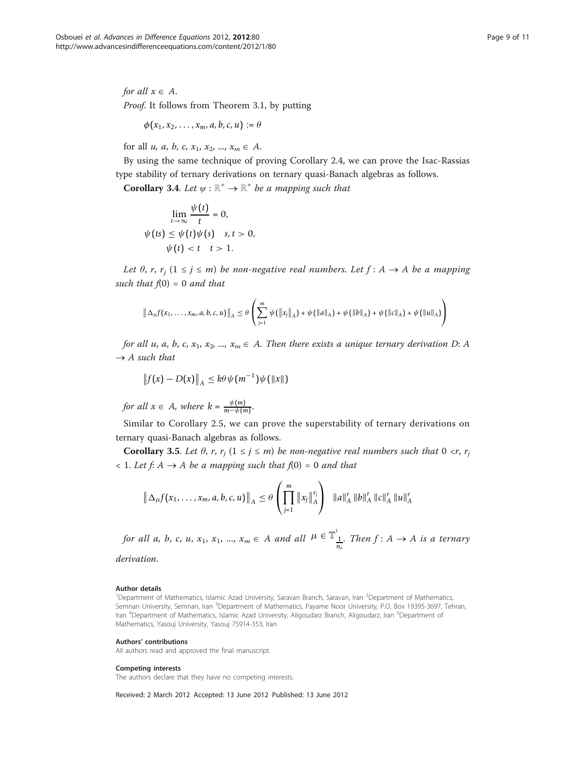for all  $x \in A$ . Proof. It follows from Theorem 3.1, by putting

$$
\phi(x_1,x_2,\ldots,x_m,a,b,c,u) := \theta
$$

for all u, a, b, c,  $x_1, x_2, ..., x_m \in A$ .

By using the same technique of proving Corollary 2.4, we can prove the Isac-Rassias type stability of ternary derivations on ternary quasi-Banach algebras as follows.

**Corollary 3.4.** Let  $\psi : \mathbb{R}^+ \to \mathbb{R}^+$  be a mapping such that

$$
\lim_{t \to \infty} \frac{\psi(t)}{t} = 0,
$$
  

$$
\psi(ts) \le \psi(t)\psi(s) \quad s, t > 0,
$$
  

$$
\psi(t) < t \quad t > 1.
$$

Let  $\theta$ , r, r<sub>i</sub>  $(1 \le j \le m)$  be non-negative real numbers. Let  $f : A \rightarrow A$  be a mapping such that  $f(0) = 0$  and that

$$
\left\|\Delta_{\mu}f(x_1,\ldots,x_m,a,b,c,u)\right\|_{A} \leq \theta \left(\sum_{j=1}^m \psi(\left\|x_j\right\|_{A}) + \psi(\left\|a\right\|_{A}) + \psi(\left\|b\right\|_{A}) + \psi(\left\|c\right\|_{A}) + \psi(\left\|u\right\|_{A})\right)
$$

for all u, a, b, c,  $x_1, x_2, ..., x_m \in A$ . Then there exists a unique ternary derivation D: A  $\rightarrow$  A such that

$$
\left\|f(x)-D(x)\right\|_{A}\leq k\theta\psi(m^{-1})\psi(\left\|x\right\|)
$$

for all  $x \in A$ , where  $k = \frac{\psi(m)}{m - \psi(m)}$ .

Similar to Corollary 2.5, we can prove the superstability of ternary derivations on ternary quasi-Banach algebras as follows.

**Corollary 3.5.** Let  $\theta$ , r, r<sub>i</sub>  $(1 \le j \le m)$  be non-negative real numbers such that  $0 \le r$ , r<sub>i</sub>  $< 1.$  Let f: A  $\rightarrow$  A be a mapping such that f(0) = 0 and that

$$
\left\|\Delta_{\mu}f(x_1,\ldots,x_m,a,b,c,u)\right\|_{A} \leq \theta \left(\prod_{j=1}^m \left\|x_j\right\|_{A}^{r_j}\right) \left\|a\right\|_{A}^{r} \left\|b\right\|_{A}^{r} \left\|c\right\|_{A}^{r} \left\|u\right\|_{A}^{r}
$$

for all a, b, c, u,  $x_1, x_1, ..., x_m \in A$  and all  $\mu \in \mathbb{T}^1_{\frac{1}{n_o}}$ . Then  $f : A \to A$  is a ternary derivation.

### Author details

<sup>1</sup>Department of Mathematics, Islamic Azad University, Saravan Branch, Saravan, Iran <sup>2</sup>Department of Mathematics, Semnan University, Semnan, Iran <sup>3</sup>Department of Mathematics, Payame Noor University, P.O. Box 19395-3697, Tehran, Iran <sup>4</sup>Department of Mathematics, Islamic Azad University, Aligoudarz Branch, Aligoudarz, Iran <sup>5</sup>Department of Mathematics, Yasouj University, Yasouj 75914-353, Iran

### Authors' contributions

All authors read and approved the final manuscript.

### Competing interests

The authors declare that they have no competing interests.

Received: 2 March 2012 Accepted: 13 June 2012 Published: 13 June 2012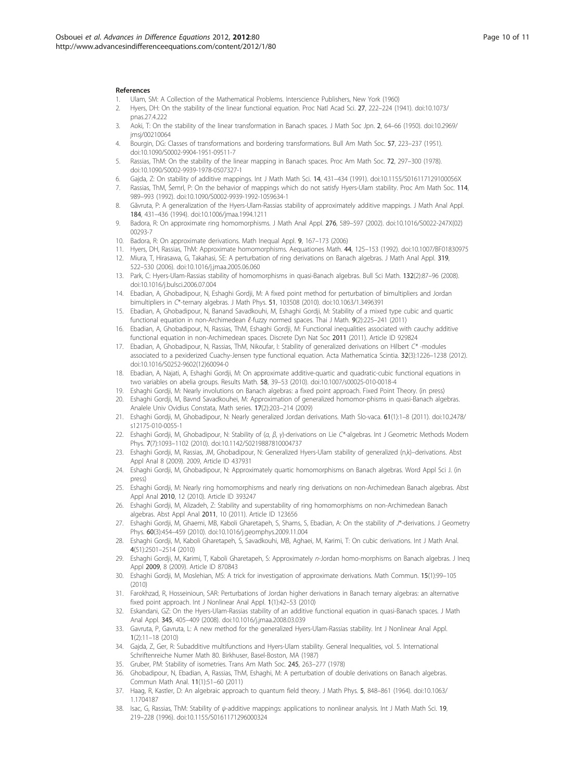### <span id="page-9-0"></span>References

- 1. Ulam, SM: A Collection of the Mathematical Problems. Interscience Publishers, New York (1960)
- 2. Hyers, DH: [On the stability of the linear functional equation.](http://www.ncbi.nlm.nih.gov/pubmed/16578012?dopt=Abstract) Proc Natl Acad Sci. 27, 222–224 (1941). doi:10.1073/ pnas.27.4.222
- 3. Aoki, T: On the stability of the linear transformation in Banach spaces. J Math Soc Jpn. 2, 64–66 (1950). doi:10.2969/ jmsj/00210064
- 4. Bourgin, DG: Classes of transformations and bordering transformations. Bull Am Math Soc. 57, 223–237 (1951). doi:10.1090/S0002-9904-1951-09511-7
- Rassias, ThM: On the stability of the linear mapping in Banach spaces. Proc Am Math Soc. 72, 297–300 (1978). doi:10.1090/S0002-9939-1978-0507327-1
- 6. Gajda, Z: On stability of additive mappings. Int J Math Math Sci. 14, 431–434 (1991). doi:10.1155/S016117129100056X
- 7. Rassias, ThM, Šemrl, P: On the behavior of mappings which do not satisfy Hyers-Ulam stability. Proc Am Math Soc. 114, 989–993 (1992). doi:10.1090/S0002-9939-1992-1059634-1
- 8. Găvruta, P: A generalization of the Hyers-Ulam-Rassias stability of approximately additive mappings. J Math Anal Appl. 184, 431–436 (1994). doi:10.1006/jmaa.1994.1211
- 9. Badora, R: On approximate ring homomorphisms. J Math Anal Appl. 276, 589–597 (2002). doi:10.1016/S0022-247X(02) 00293-7
- 10. Badora, R: On approximate derivations. Math Inequal Appl. 9, 167–173 (2006)
- 11. Hyers, DH, Rassias, ThM: Approximate homomorphisms. Aequationes Math. 44, 125–153 (1992). doi:10.1007/BF01830975
- 12. Miura, T, Hirasawa, G, Takahasi, SE: A perturbation of ring derivations on Banach algebras. J Math Anal Appl. 319, 522–530 (2006). doi:10.1016/j.jmaa.2005.06.060
- 13. Park, C: Hyers-Ulam-Rassias stability of homomorphisms in quasi-Banach algebras. Bull Sci Math. 132(2):87–96 (2008). doi:10.1016/j.bulsci.2006.07.004
- 14. Ebadian, A, Ghobadipour, N, Eshaghi Gordji, M: A fixed point method for perturbation of bimultipliers and Jordan bimultipliers in C\*-ternary algebras. J Math Phys. 51, 103508 (2010). doi:10.1063/1.3496391
- 15. Ebadian, A, Ghobadipour, N, Banand Savadkouhi, M, Eshaghi Gordji, M: Stability of a mixed type cubic and quartic functional equation in non-Archimedean ℓ-fuzzy normed spaces. Thai J Math. 9(2):225–241 (2011)
- 16. Ebadian, A, Ghobadipour, N, Rassias, ThM, Eshaghi Gordji, M: Functional inequalities associated with cauchy additive functional equation in non-Archimedean spaces. Discrete Dyn Nat Soc 2011 (2011). Article ID 929824
- 17. Ebadian, A, Ghobadipour, N, Rassias, ThM, Nikoufar, I: Stability of generalized derivations on Hilbert C\*-modules associated to a pexiderized Cuachy-Jensen type functional equation. Acta Mathematica Scintia. 32(3):1226–1238 (2012). doi:10.1016/S0252-9602(12)60094-0
- 18. Ebadian, A, Najati, A, Eshaghi Gordji, M: On approximate additive-quartic and quadratic-cubic functional equations in two variables on abelia groups. Results Math. 58, 39–53 (2010). doi:10.1007/s00025-010-0018-4
- 19. Eshaghi Gordji, M: Nearly involutions on Banach algebras: a fixed point approach. Fixed Point Theory. (in press)
- 20. Eshaghi Gordji, M, Bavnd Savadkouhei, M: Approximation of generalized homomor-phisms in quasi-Banach algebras. Analele Univ Ovidius Constata, Math series. 17(2):203–214 (2009)
- 21. Eshaghi Gordji, M, Ghobadipour, N: Nearly generalized Jordan derivations. Math Slo-vaca. 61(1):1–8 (2011). doi:10.2478/ s12175-010-0055-1
- 22. Eshaghi Gordji, M, Ghobadipour, N: Stability of (α, β, γ)-derivations on Lie C\*-algebras. Int J Geometric Methods Modern Phys. 7(7):1093–1102 (2010). doi:10.1142/S0219887810004737
- 23. Eshaghi Gordji, M, Rassias, JM, Ghobadipour, N: Generalized Hyers-Ulam stability of generalized (n,k)–derivations. Abst Appl Anal 8 (2009). 2009, Article ID 437931
- 24. Eshaghi Gordji, M, Ghobadipour, N: Approximately quartic homomorphisms on Banach algebras. Word Appl Sci J. (in press)
- 25. Eshaghi Gordji, M: Nearly ring homomorphisms and nearly ring derivations on non-Archimedean Banach algebras. Abst Appl Anal 2010, 12 (2010). Article ID 393247
- 26. Eshaghi Gordji, M, Alizadeh, Z: Stability and superstability of ring homomorphisms on non-Archimedean Banach algebras. Abst Appl Anal 2011, 10 (2011). Article ID 123656
- 27. Eshaghi Gordji, M, Ghaemi, MB, Kaboli Gharetapeh, S, Shams, S, Ebadian, A: On the stability of J\*-derivations. J Geometry Phys. 60(3):454–459 (2010). doi:10.1016/j.geomphys.2009.11.004
- 28. Eshaghi Gordji, M, Kaboli Gharetapeh, S, Savadkouhi, MB, Aghaei, M, Karimi, T: On cubic derivations. Int J Math Anal. 4(51):2501–2514 (2010)
- 29. Eshaghi Gordji, M, Karimi, T, Kaboli Gharetapeh, S: Approximately n-Jordan homo-morphisms on Banach algebras. J Ineq Appl 2009, 8 (2009). Article ID 870843
- 30. Eshaghi Gordji, M, Moslehian, MS: A trick for investigation of approximate derivations. Math Commun. 15(1):99–105 (2010)
- 31. Farokhzad, R, Hosseinioun, SAR: Perturbations of Jordan higher derivations in Banach ternary algebras: an alternative fixed point approach. Int J Nonlinear Anal Appl. 1(1):42–53 (2010)
- 32. Eskandani, GZ: On the Hyers-Ulam-Rassias stability of an additive functional equation in quasi-Banach spaces. J Math Anal Appl. 345, 405–409 (2008). doi:10.1016/j.jmaa.2008.03.039
- 33. Gavruta, P, Gavruta, L: A new method for the generalized Hyers-Ulam-Rassias stability. Int J Nonlinear Anal Appl. 1(2):11–18 (2010)
- 34. Gajda, Z, Ger, R: Subadditive multifunctions and Hyers-Ulam stability. General Inequalities, vol. 5. International Schriftenreiche Numer Math 80. Birkhuser, Basel-Boston, MA (1987)
- 35. Gruber, PM: Stability of isometries. Trans Am Math Soc. 245, 263–277 (1978)
- 36. Ghobadipour, N, Ebadian, A, Rassias, ThM, Eshaghi, M: A perturbation of double derivations on Banach algebras. Commun Math Anal. 11(1):51–60 (2011)
- 37. Haag, R, Kastler, D: An algebraic approach to quantum field theory. J Math Phys. 5, 848–861 (1964). doi:10.1063/ 1.1704187
- 38. Isac, G, Rassias, ThM: Stability of  $\psi$ -additive mappings: applications to nonlinear analysis. Int J Math Math Sci. 19, 219–228 (1996). doi:10.1155/S0161171296000324